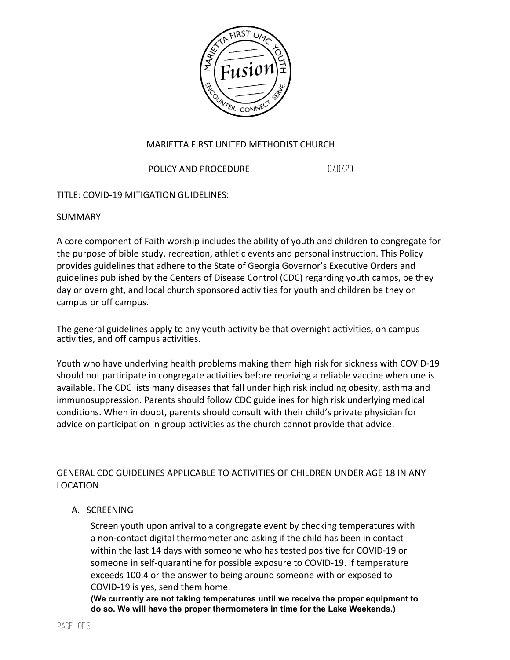

### MARIETTA FIRST UNITED METHODIST CHURCH

POLICY AND PROCEDURE 07.07.20

## TITLE: COVID-19 MITIGATION GUIDELINES:

SUMMARY

A core component of Faith worship includes the ability of youth and children to congregate for the purpose of bible study, recreation, athletic events and personal instruction. This Policy provides guidelines that adhere to the State of Georgia Governor's Executive Orders and guidelines published by the Centers of Disease Control (CDC) regarding youth camps, be they day or overnight, and local church sponsored activities for youth and children be they on campus or off campus.

The general guidelines apply to any youth activity be that overnight activities, on campus activities, and off campus activities.

Youth who have underlying health problems making them high risk for sickness with COVID-19 should not participate in congregate activities before receiving a reliable vaccine when one is available. The CDC lists many diseases that fall under high risk including obesity, asthma and immunosuppression. Parents should follow CDC guidelines for high risk underlying medical conditions. When in doubt, parents should consult with their child's private physician for advice on participation in group activities as the church cannot provide that advice.

# GENERAL CDC GUIDELINES APPLICABLE TO ACTIVITIES OF CHILDREN UNDER AGE 18 IN ANY LOCATION

## A. SCREENING

Screen youth upon arrival to a congregate event by checking temperatures with a non-contact digital thermometer and asking if the child has been in contact within the last 14 days with someone who has tested positive for COVID-19 or someone in self-quarantine for possible exposure to COVID-19. If temperature exceeds 100.4 or the answer to being around someone with or exposed to COVID-19 is yes, send them home.

**(We currently are not taking temperatures until we receive the proper equipment to do so. We will have the proper thermometers in time for the Lake Weekends.)**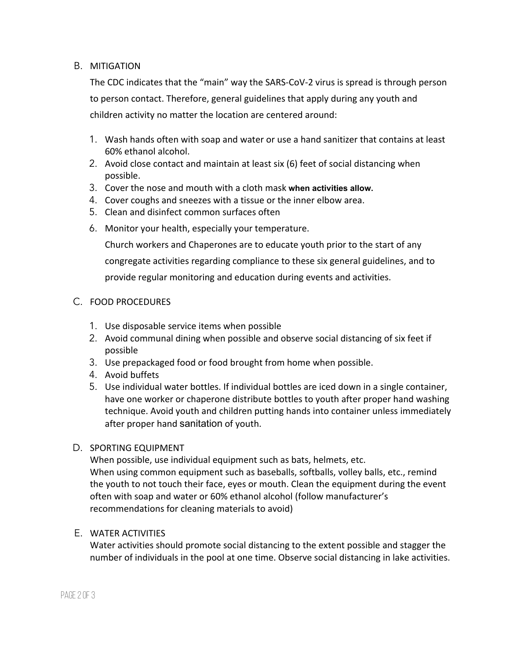### B. MITIGATION

The CDC indicates that the "main" way the SARS-CoV-2 virus is spread is through person to person contact. Therefore, general guidelines that apply during any youth and children activity no matter the location are centered around:

- 1. Wash hands often with soap and water or use a hand sanitizer that contains at least 60% ethanol alcohol.
- 2. Avoid close contact and maintain at least six (6) feet of social distancing when possible.
- 3. Cover the nose and mouth with a cloth mask **when activities allow.**
- 4. Cover coughs and sneezes with a tissue or the inner elbow area.
- 5. Clean and disinfect common surfaces often
- 6. Monitor your health, especially your temperature.

Church workers and Chaperones are to educate youth prior to the start of any congregate activities regarding compliance to these six general guidelines, and to provide regular monitoring and education during events and activities.

### C. FOOD PROCEDURES

- 1. Use disposable service items when possible
- 2. Avoid communal dining when possible and observe social distancing of six feet if possible
- 3. Use prepackaged food or food brought from home when possible.
- 4. Avoid buffets
- 5. Use individual water bottles. If individual bottles are iced down in a single container, have one worker or chaperone distribute bottles to youth after proper hand washing technique. Avoid youth and children putting hands into container unless immediately after proper hand sanitation of youth.

#### D. SPORTING EQUIPMENT

When possible, use individual equipment such as bats, helmets, etc. When using common equipment such as baseballs, softballs, volley balls, etc., remind the youth to not touch their face, eyes or mouth. Clean the equipment during the event often with soap and water or 60% ethanol alcohol (follow manufacturer's recommendations for cleaning materials to avoid)

#### E. WATER ACTIVITIES

Water activities should promote social distancing to the extent possible and stagger the number of individuals in the pool at one time. Observe social distancing in lake activities.